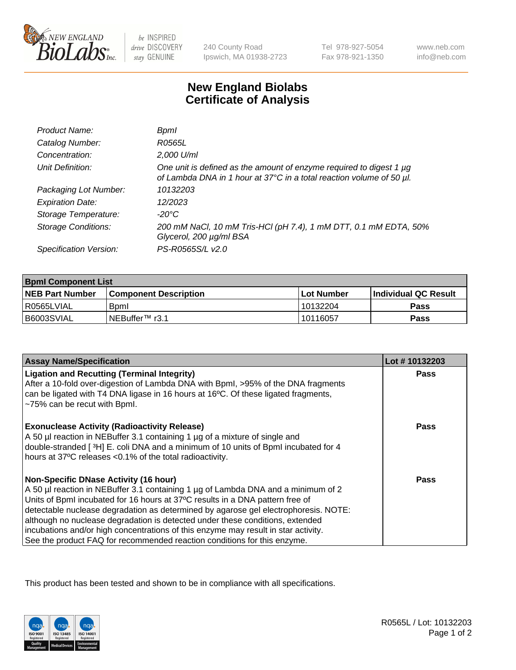

be INSPIRED drive DISCOVERY stay GENUINE

240 County Road Ipswich, MA 01938-2723 Tel 978-927-5054 Fax 978-921-1350

www.neb.com info@neb.com

## **New England Biolabs Certificate of Analysis**

| Product Name:           | Bpml                                                                                                                                             |
|-------------------------|--------------------------------------------------------------------------------------------------------------------------------------------------|
| Catalog Number:         | R0565L                                                                                                                                           |
| Concentration:          | 2,000 U/ml                                                                                                                                       |
| Unit Definition:        | One unit is defined as the amount of enzyme required to digest 1 $\mu$ g<br>of Lambda DNA in 1 hour at 37°C in a total reaction volume of 50 µl. |
| Packaging Lot Number:   | 10132203                                                                                                                                         |
| <b>Expiration Date:</b> | 12/2023                                                                                                                                          |
| Storage Temperature:    | -20°C                                                                                                                                            |
| Storage Conditions:     | 200 mM NaCl, 10 mM Tris-HCl (pH 7.4), 1 mM DTT, 0.1 mM EDTA, 50%<br>Glycerol, 200 µg/ml BSA                                                      |
| Specification Version:  | PS-R0565S/L v2.0                                                                                                                                 |

| <b>Bpml Component List</b> |                              |                   |                       |  |
|----------------------------|------------------------------|-------------------|-----------------------|--|
| <b>NEB Part Number</b>     | <b>Component Description</b> | <b>Lot Number</b> | ∣Individual QC Result |  |
| R0565LVIAL                 | Boml                         | 10132204          | <b>Pass</b>           |  |
| B6003SVIAL                 | INEBuffer™ r3.1              | 10116057          | Pass                  |  |

| <b>Assay Name/Specification</b>                                                                                                                                                                                                                                                                                                                                                                                                                                                                                                                              | Lot #10132203 |
|--------------------------------------------------------------------------------------------------------------------------------------------------------------------------------------------------------------------------------------------------------------------------------------------------------------------------------------------------------------------------------------------------------------------------------------------------------------------------------------------------------------------------------------------------------------|---------------|
| <b>Ligation and Recutting (Terminal Integrity)</b><br>After a 10-fold over-digestion of Lambda DNA with Bpml, >95% of the DNA fragments<br>can be ligated with T4 DNA ligase in 16 hours at 16°C. Of these ligated fragments,<br>~75% can be recut with Bpml.                                                                                                                                                                                                                                                                                                | <b>Pass</b>   |
| <b>Exonuclease Activity (Radioactivity Release)</b><br>A 50 µl reaction in NEBuffer 3.1 containing 1 µg of a mixture of single and<br>double-stranded [3H] E. coli DNA and a minimum of 10 units of BpmI incubated for 4<br>hours at 37°C releases <0.1% of the total radioactivity.                                                                                                                                                                                                                                                                         | Pass          |
| <b>Non-Specific DNase Activity (16 hour)</b><br>A 50 µl reaction in NEBuffer 3.1 containing 1 µg of Lambda DNA and a minimum of 2<br>Units of BpmI incubated for 16 hours at 37°C results in a DNA pattern free of<br>detectable nuclease degradation as determined by agarose gel electrophoresis. NOTE:<br>although no nuclease degradation is detected under these conditions, extended<br>incubations and/or high concentrations of this enzyme may result in star activity.<br>See the product FAQ for recommended reaction conditions for this enzyme. | Pass          |

This product has been tested and shown to be in compliance with all specifications.